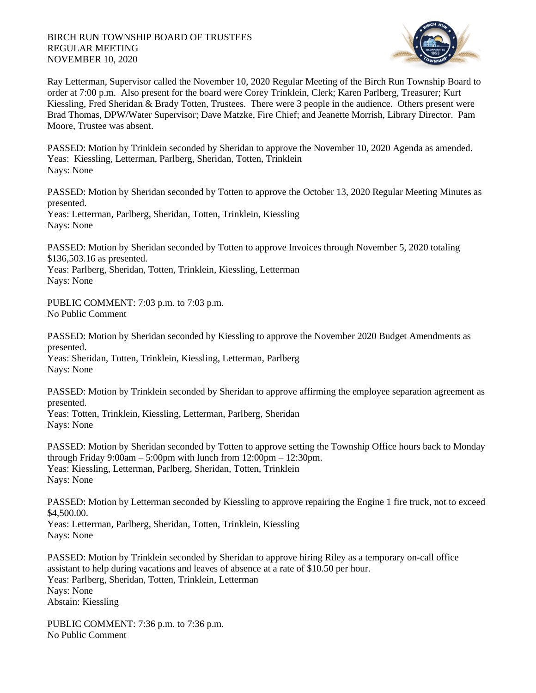## BIRCH RUN TOWNSHIP BOARD OF TRUSTEES REGULAR MEETING NOVEMBER 10, 2020



Ray Letterman, Supervisor called the November 10, 2020 Regular Meeting of the Birch Run Township Board to order at 7:00 p.m. Also present for the board were Corey Trinklein, Clerk; Karen Parlberg, Treasurer; Kurt Kiessling, Fred Sheridan & Brady Totten, Trustees. There were 3 people in the audience. Others present were Brad Thomas, DPW/Water Supervisor; Dave Matzke, Fire Chief; and Jeanette Morrish, Library Director. Pam Moore, Trustee was absent.

PASSED: Motion by Trinklein seconded by Sheridan to approve the November 10, 2020 Agenda as amended. Yeas: Kiessling, Letterman, Parlberg, Sheridan, Totten, Trinklein Nays: None

PASSED: Motion by Sheridan seconded by Totten to approve the October 13, 2020 Regular Meeting Minutes as presented.

Yeas: Letterman, Parlberg, Sheridan, Totten, Trinklein, Kiessling Nays: None

PASSED: Motion by Sheridan seconded by Totten to approve Invoices through November 5, 2020 totaling \$136,503.16 as presented.

Yeas: Parlberg, Sheridan, Totten, Trinklein, Kiessling, Letterman Nays: None

PUBLIC COMMENT: 7:03 p.m. to 7:03 p.m. No Public Comment

PASSED: Motion by Sheridan seconded by Kiessling to approve the November 2020 Budget Amendments as presented.

Yeas: Sheridan, Totten, Trinklein, Kiessling, Letterman, Parlberg Nays: None

PASSED: Motion by Trinklein seconded by Sheridan to approve affirming the employee separation agreement as presented.

Yeas: Totten, Trinklein, Kiessling, Letterman, Parlberg, Sheridan Nays: None

PASSED: Motion by Sheridan seconded by Totten to approve setting the Township Office hours back to Monday through Friday 9:00am – 5:00pm with lunch from  $12:00$ pm –  $12:30$ pm. Yeas: Kiessling, Letterman, Parlberg, Sheridan, Totten, Trinklein Nays: None

PASSED: Motion by Letterman seconded by Kiessling to approve repairing the Engine 1 fire truck, not to exceed \$4,500.00.

Yeas: Letterman, Parlberg, Sheridan, Totten, Trinklein, Kiessling Nays: None

PASSED: Motion by Trinklein seconded by Sheridan to approve hiring Riley as a temporary on-call office assistant to help during vacations and leaves of absence at a rate of \$10.50 per hour. Yeas: Parlberg, Sheridan, Totten, Trinklein, Letterman Nays: None Abstain: Kiessling

PUBLIC COMMENT: 7:36 p.m. to 7:36 p.m. No Public Comment